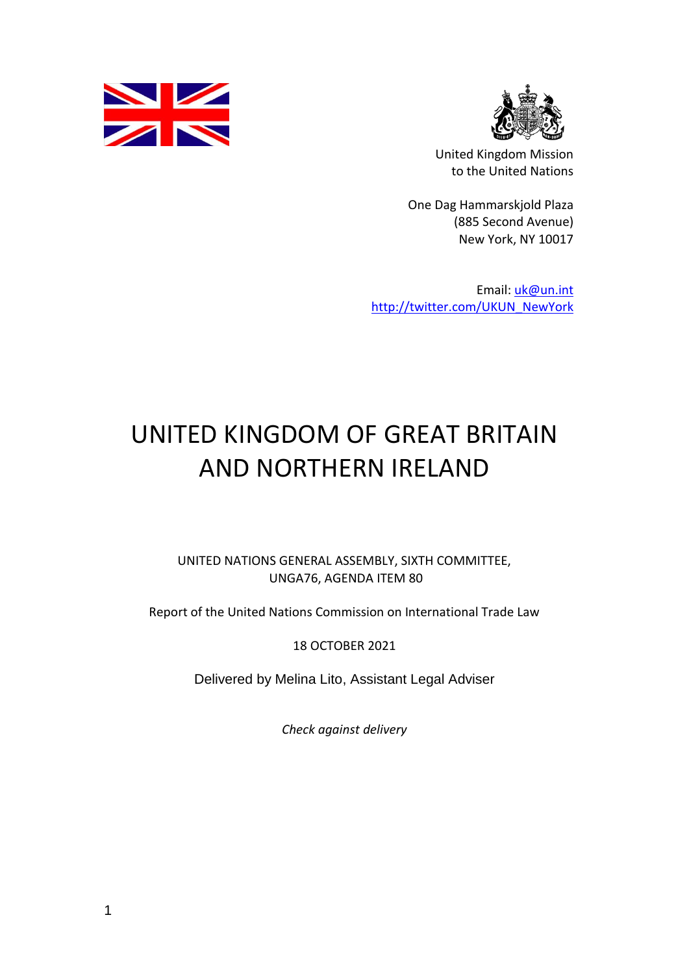



United Kingdom Mission to the United Nations

One Dag Hammarskjold Plaza (885 Second Avenue) New York, NY 10017

Email: [uk@un.int](mailto:uk@un.int) [http://twitter.com/UKUN\\_NewYork](http://twitter.com/UKUN_NewYork)

# UNITED KINGDOM OF GREAT BRITAIN AND NORTHERN IRELAND

UNITED NATIONS GENERAL ASSEMBLY, SIXTH COMMITTEE, UNGA76, AGENDA ITEM 80

Report of the United Nations Commission on International Trade Law

18 OCTOBER 2021

Delivered by Melina Lito, Assistant Legal Adviser

*Check against delivery*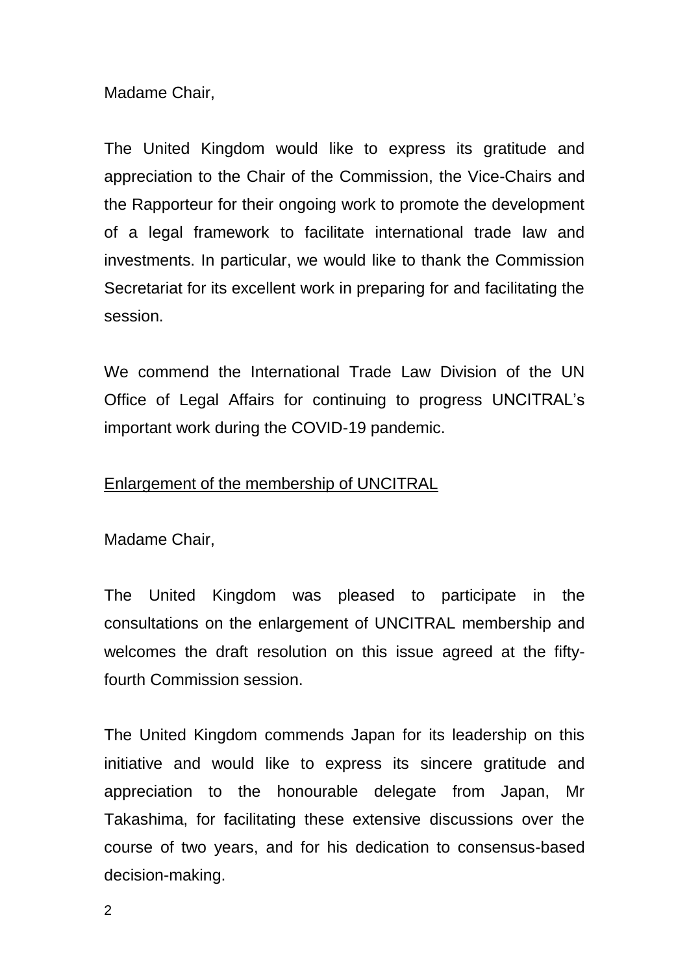Madame Chair,

The United Kingdom would like to express its gratitude and appreciation to the Chair of the Commission, the Vice-Chairs and the Rapporteur for their ongoing work to promote the development of a legal framework to facilitate international trade law and investments. In particular, we would like to thank the Commission Secretariat for its excellent work in preparing for and facilitating the session.

We commend the International Trade Law Division of the UN Office of Legal Affairs for continuing to progress UNCITRAL's important work during the COVID-19 pandemic.

## Enlargement of the membership of UNCITRAL

Madame Chair,

The United Kingdom was pleased to participate in the consultations on the enlargement of UNCITRAL membership and welcomes the draft resolution on this issue agreed at the fiftyfourth Commission session.

The United Kingdom commends Japan for its leadership on this initiative and would like to express its sincere gratitude and appreciation to the honourable delegate from Japan, Mr Takashima, for facilitating these extensive discussions over the course of two years, and for his dedication to consensus-based decision-making.

 $\mathfrak{D}$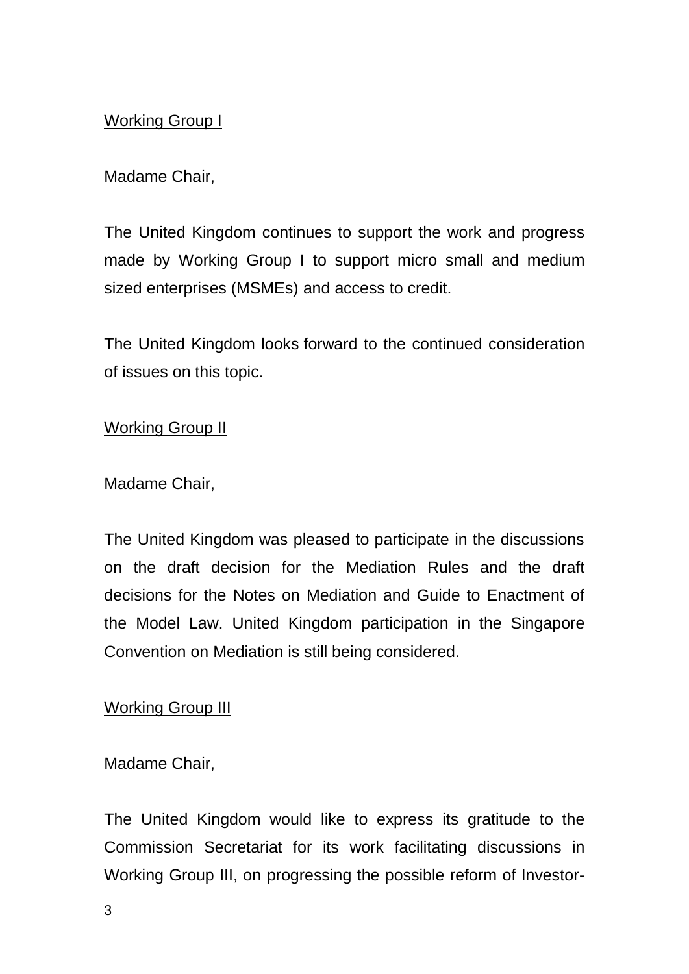# Working Group I

# Madame Chair,

The United Kingdom continues to support the work and progress made by Working Group I to support micro small and medium sized enterprises (MSMEs) and access to credit.

The United Kingdom looks forward to the continued consideration of issues on this topic.

## Working Group II

#### Madame Chair,

The United Kingdom was pleased to participate in the discussions on the draft decision for the Mediation Rules and the draft decisions for the Notes on Mediation and Guide to Enactment of the Model Law. United Kingdom participation in the Singapore Convention on Mediation is still being considered.

## Working Group III

## Madame Chair,

The United Kingdom would like to express its gratitude to the Commission Secretariat for its work facilitating discussions in Working Group III, on progressing the possible reform of Investor-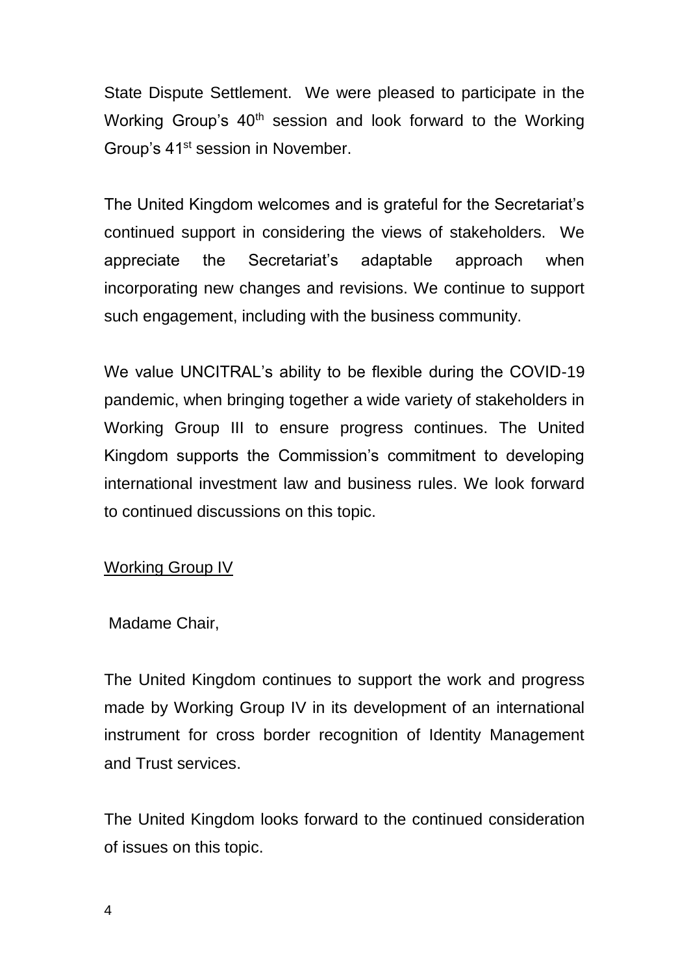State Dispute Settlement. We were pleased to participate in the Working Group's 40<sup>th</sup> session and look forward to the Working Group's 41<sup>st</sup> session in November.

The United Kingdom welcomes and is grateful for the Secretariat's continued support in considering the views of stakeholders. We appreciate the Secretariat's adaptable approach when incorporating new changes and revisions. We continue to support such engagement, including with the business community.

We value UNCITRAL's ability to be flexible during the COVID-19 pandemic, when bringing together a wide variety of stakeholders in Working Group III to ensure progress continues. The United Kingdom supports the Commission's commitment to developing international investment law and business rules. We look forward to continued discussions on this topic.

## Working Group IV

Madame Chair,

The United Kingdom continues to support the work and progress made by Working Group IV in its development of an international instrument for cross border recognition of Identity Management and Trust services.

The United Kingdom looks forward to the continued consideration of issues on this topic.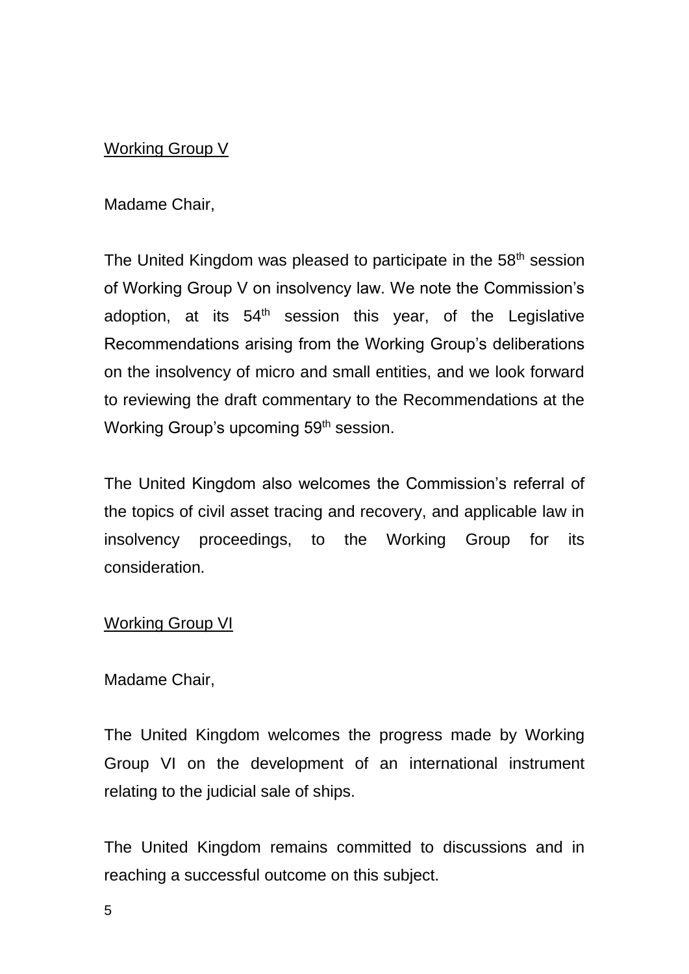## Working Group V

Madame Chair,

The United Kingdom was pleased to participate in the 58<sup>th</sup> session of Working Group V on insolvency law. We note the Commission's adoption, at its  $54<sup>th</sup>$  session this year, of the Legislative Recommendations arising from the Working Group's deliberations on the insolvency of micro and small entities, and we look forward to reviewing the draft commentary to the Recommendations at the Working Group's upcoming 59<sup>th</sup> session.

The United Kingdom also welcomes the Commission's referral of the topics of civil asset tracing and recovery, and applicable law in insolvency proceedings, to the Working Group for its consideration.

#### Working Group VI

#### Madame Chair,

The United Kingdom welcomes the progress made by Working Group VI on the development of an international instrument relating to the judicial sale of ships.

The United Kingdom remains committed to discussions and in reaching a successful outcome on this subject.